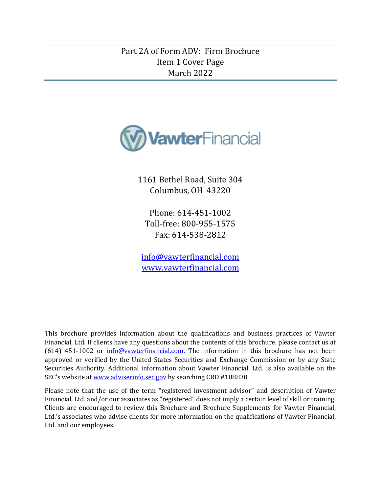# <span id="page-0-0"></span>Part 2A of Form ADV: Firm Brochure Item 1 Cover Page March 2022



1161 Bethel Road, Suite 304 Columbus, OH 43220

Phone: 614-451-1002 Toll-free: 800-955-1575 Fax: 614-538-2812

[info@vawterfinancial.com](mailto:info@vawterfinancial.com) [www.vawterfinancial.com](http://www.vawterfinancial.com/)

This brochure provides information about the qualifications and business practices of Vawter Financial, Ltd. If clients have any questions about the contents of this brochure, please contact us at (614) 451-1002 or [info@vawterfinancial.com.](mailto:info@vawterfinancial.com) The information in this brochure has not been approved or verified by the United States Securities and Exchange Commission or by any State Securities Authority. Additional information about Vawter Financial, Ltd. is also available on the SEC's website at [www.adviserinfo.sec.gov](http://www.adviserinfo.sec.gov/) by searching CRD #108830.

Please note that the use of the term "registered investment advisor" and description of Vawter Financial, Ltd. and/or our associates as "registered" does not imply a certain level of skill or training. Clients are encouraged to review this Brochure and Brochure Supplements for Vawter Financial, Ltd.'s associates who advise clients for more information on the qualifications of Vawter Financial, Ltd. and our employees.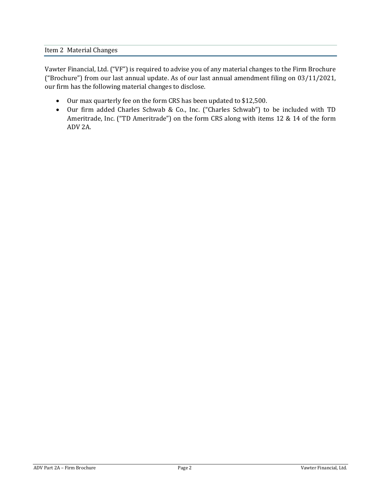<span id="page-1-0"></span>Vawter Financial, Ltd. ("VF") is required to advise you of any material changes to the Firm Brochure ("Brochure") from our last annual update. As of our last annual amendment filing on 03/11/2021, our firm has the following material changes to disclose.

- Our max quarterly fee on the form CRS has been updated to \$12,500.
- Our firm added Charles Schwab & Co., Inc. ("Charles Schwab") to be included with TD Ameritrade, Inc. ("TD Ameritrade") on the form CRS along with items 12 & 14 of the form ADV 2A.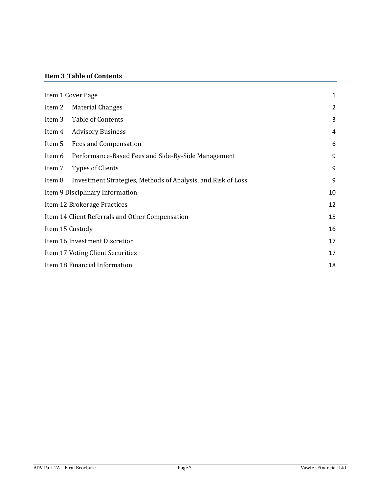# <span id="page-2-0"></span>**Item 3 Table of Contents**

|                                                 | Item 1 Cover Page                                            | 1              |
|-------------------------------------------------|--------------------------------------------------------------|----------------|
| Item 2                                          | <b>Material Changes</b>                                      | $\overline{2}$ |
| Item 3                                          | Table of Contents                                            | 3              |
| Item 4                                          | <b>Advisory Business</b>                                     | 4              |
| Item 5                                          | <b>Fees and Compensation</b>                                 | 6              |
| Item 6                                          | Performance-Based Fees and Side-By-Side Management           | 9              |
| Item 7                                          | <b>Types of Clients</b>                                      | 9              |
| Item 8                                          | Investment Strategies, Methods of Analysis, and Risk of Loss | 9              |
| Item 9 Disciplinary Information                 |                                                              | 10             |
| Item 12 Brokerage Practices                     |                                                              | 12             |
| Item 14 Client Referrals and Other Compensation |                                                              | 15             |
| Item 15 Custody                                 |                                                              | 16             |
| Item 16 Investment Discretion                   |                                                              | 17             |
| Item 17 Voting Client Securities                |                                                              | 17             |
| Item 18 Financial Information                   |                                                              | 18             |
|                                                 |                                                              |                |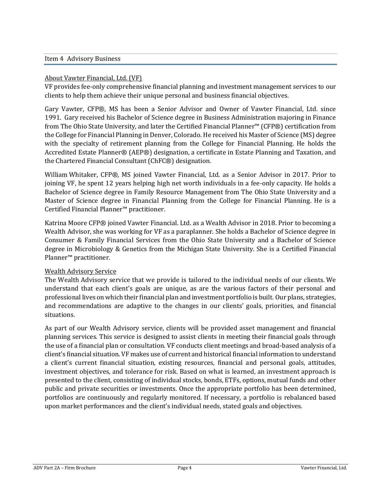#### <span id="page-3-0"></span>Item 4 Advisory Business

## About Vawter Financial, Ltd. (VF)

VF provides fee-only comprehensive financial planning and investment management services to our clients to help them achieve their unique personal and business financial objectives.

Gary Vawter, CFP®, MS has been a Senior Advisor and Owner of Vawter Financial, Ltd. since 1991. Gary received his Bachelor of Science degree in Business Administration majoring in Finance from The Ohio State University, and later the Certified Financial Planner™ (CFP®) certification from the College for Financial Planning in Denver, Colorado. He received his Master of Science (MS) degree with the specialty of retirement planning from the College for Financial Planning. He holds the Accredited Estate Planner® (AEP®) designation, a certificate in Estate Planning and Taxation, and the Chartered Financial Consultant (ChFC®) designation.

William Whitaker, CFP®, MS joined Vawter Financial, Ltd. as a Senior Advisor in 2017. Prior to joining VF, he spent 12 years helping high net worth individuals in a fee-only capacity. He holds a Bachelor of Science degree in Family Resource Management from The Ohio State University and a Master of Science degree in Financial Planning from the College for Financial Planning. He is a Certified Financial Planner™ practitioner.

Katrina Moore CFP® joined Vawter Financial. Ltd. as a Wealth Advisor in 2018. Prior to becoming a Wealth Advisor, she was working for VF as a paraplanner. She holds a Bachelor of Science degree in Consumer & Family Financial Services from the Ohio State University and a Bachelor of Science degree in Microbiology & Genetics from the Michigan State University. She is a Certified Financial Planner™ practitioner.

# Wealth Advisory Service

The Wealth Advisory service that we provide is tailored to the individual needs of our clients. We understand that each client's goals are unique, as are the various factors of their personal and professional lives on which their financial plan and investment portfolio is built. Our plans, strategies, and recommendations are adaptive to the changes in our clients' goals, priorities, and financial situations.

As part of our Wealth Advisory service, clients will be provided asset management and financial planning services. This service is designed to assist clients in meeting their financial goals through the use of a financial plan or consultation. VF conducts client meetings and broad-based analysis of a client's financial situation. VF makes use of current and historical financial information to understand a client's current financial situation, existing resources, financial and personal goals, attitudes, investment objectives, and tolerance for risk. Based on what is learned, an investment approach is presented to the client, consisting of individual stocks, bonds, ETFs, options, mutual funds and other public and private securities or investments. Once the appropriate portfolio has been determined, portfolios are continuously and regularly monitored. If necessary, a portfolio is rebalanced based upon market performances and the client's individual needs, stated goals and objectives.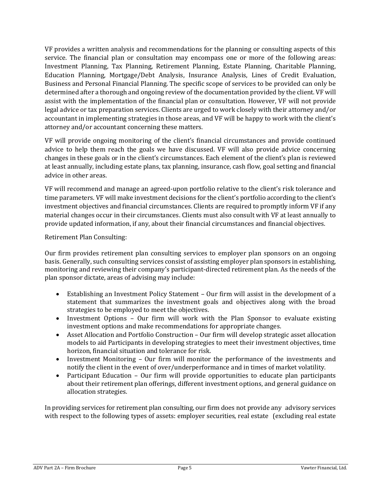VF provides a written analysis and recommendations for the planning or consulting aspects of this service. The financial plan or consultation may encompass one or more of the following areas: Investment Planning, Tax Planning, Retirement Planning, Estate Planning, Charitable Planning, Education Planning, Mortgage/Debt Analysis, Insurance Analysis, Lines of Credit Evaluation, Business and Personal Financial Planning. The specific scope of services to be provided can only be determined after a thorough and ongoing review of the documentation provided by the client. VF will assist with the implementation of the financial plan or consultation. However, VF will not provide legal advice or tax preparation services. Clients are urged to work closely with their attorney and/or accountant in implementing strategies in those areas, and VF will be happy to work with the client's attorney and/or accountant concerning these matters.

VF will provide ongoing monitoring of the client's financial circumstances and provide continued advice to help them reach the goals we have discussed. VF will also provide advice concerning changes in these goals or in the client's circumstances. Each element of the client's plan is reviewed at least annually, including estate plans, tax planning, insurance, cash flow, goal setting and financial advice in other areas.

VF will recommend and manage an agreed-upon portfolio relative to the client's risk tolerance and time parameters. VF will make investment decisions for the client's portfolio according to the client's investment objectives and financial circumstances. Clients are required to promptly inform VF if any material changes occur in their circumstances. Clients must also consult with VF at least annually to provide updated information, if any, about their financial circumstances and financial objectives.

Retirement Plan Consulting:

Our firm provides retirement plan consulting services to employer plan sponsors on an ongoing basis. Generally, such consulting services consist of assisting employer plan sponsors in establishing, monitoring and reviewing their company's participant-directed retirement plan. As the needs of the plan sponsor dictate, areas of advising may include:

- Establishing an Investment Policy Statement Our firm will assist in the development of a statement that summarizes the investment goals and objectives along with the broad strategies to be employed to meet the objectives.
- Investment Options Our firm will work with the Plan Sponsor to evaluate existing investment options and make recommendations for appropriate changes.
- Asset Allocation and Portfolio Construction Our firm will develop strategic asset allocation models to aid Participants in developing strategies to meet their investment objectives, time horizon, financial situation and tolerance for risk.
- Investment Monitoring Our firm will monitor the performance of the investments and notify the client in the event of over/underperformance and in times of market volatility.
- Participant Education Our firm will provide opportunities to educate plan participants about their retirement plan offerings, different investment options, and general guidance on allocation strategies.

In providing services for retirement plan consulting, our firm does not provide any advisory services with respect to the following types of assets: employer securities, real estate (excluding real estate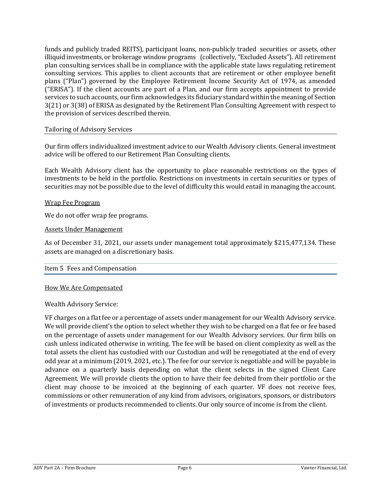funds and publicly traded REITS), participant loans, non-publicly traded securities or assets, other illiquid investments, or brokerage window programs (collectively, "Excluded Assets"). All retirement plan consulting services shall be in compliance with the applicable state laws regulating retirement consulting services. This applies to client accounts that are retirement or other employee benefit plans ("Plan") governed by the Employee Retirement Income Security Act of 1974, as amended ("ERISA"). If the client accounts are part of a Plan, and our firm accepts appointment to provide services to such accounts, our firm acknowledges its fiduciary standard within the meaning of Section 3(21) or 3(38) of ERISA as designated by the Retirement Plan Consulting Agreement with respect to the provision of services described therein.

### Tailoring of Advisory Services

Our firm offers individualized investment advice to our Wealth Advisory clients. General investment advice will be offered to our Retirement Plan Consulting clients.

Each Wealth Advisory client has the opportunity to place reasonable restrictions on the types of investments to be held in the portfolio. Restrictions on investments in certain securities or types of securities may not be possible due to the level of difficulty this would entail in managing the account.

#### Wrap Fee Program

We do not offer wrap fee programs.

#### Assets Under Management

As of December 31, 2021, our assets under management total approximately \$215,477,134. These assets are managed on a discretionary basis.

#### <span id="page-5-0"></span>Item 5 Fees and Compensation

#### How We Are Compensated

Wealth Advisory Service:

VF charges on a flat fee or a percentage of assets under management for our Wealth Advisory service. We will provide client's the option to select whether they wish to be charged on a flat fee or fee based on the percentage of assets under management for our Wealth Advisory services. Our firm bills on cash unless indicated otherwise in writing. The fee will be based on client complexity as well as the total assets the client has custodied with our Custodian and will be renegotiated at the end of every odd year at a minimum (2019, 2021, etc.). The fee for our service is negotiable and will be payable in advance on a quarterly basis depending on what the client selects in the signed Client Care Agreement. We will provide clients the option to have their fee debited from their portfolio or the client may choose to be invoiced at the beginning of each quarter. VF does not receive fees, commissions or other remuneration of any kind from advisors, originators, sponsors, or distributors of investments or products recommended to clients. Our only source of income is from the client.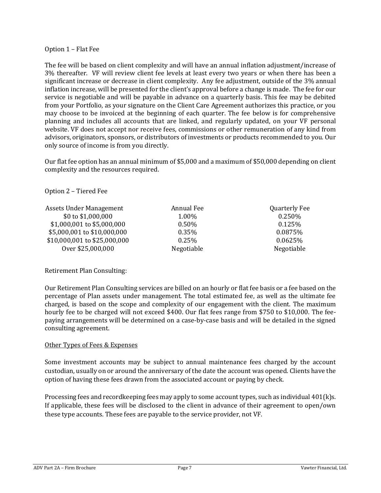#### Option 1 – Flat Fee

The fee will be based on client complexity and will have an annual inflation adjustment/increase of 3% thereafter. VF will review client fee levels at least every two years or when there has been a significant increase or decrease in client complexity. Any fee adjustment, outside of the 3% annual inflation increase, will be presented for the client's approval before a change is made. The fee for our service is negotiable and will be payable in advance on a quarterly basis. This fee may be debited from your Portfolio, as your signature on the Client Care Agreement authorizes this practice, or you may choose to be invoiced at the beginning of each quarter. The fee below is for comprehensive planning and includes all accounts that are linked, and regularly updated, on your VF personal website. VF does not accept nor receive fees, commissions or other remuneration of any kind from advisors, originators, sponsors, or distributors of investments or products recommended to you. Our only source of income is from you directly.

Our flat fee option has an annual minimum of \$5,000 and a maximum of \$50,000 depending on client complexity and the resources required.

#### Option 2 – Tiered Fee

| Assets Under Management      | Annual Fee | <b>Quarterly Fee</b> |
|------------------------------|------------|----------------------|
| \$0 to \$1,000,000           | 1.00%      | 0.250%               |
| \$1,000,001 to \$5,000,000   | $0.50\%$   | 0.125%               |
| \$5,000,001 to \$10,000,000  | $0.35\%$   | 0.0875%              |
| \$10,000,001 to \$25,000,000 | $0.25\%$   | 0.0625%              |
| Over \$25,000,000            | Negotiable | Negotiable           |

# Retirement Plan Consulting:

Our Retirement Plan Consulting services are billed on an hourly or flat fee basis or a fee based on the percentage of Plan assets under management. The total estimated fee, as well as the ultimate fee charged, is based on the scope and complexity of our engagement with the client. The maximum hourly fee to be charged will not exceed \$400. Our flat fees range from \$750 to \$10,000. The feepaying arrangements will be determined on a case-by-case basis and will be detailed in the signed consulting agreement.

#### Other Types of Fees & Expenses

Some investment accounts may be subject to annual maintenance fees charged by the account custodian, usually on or around the anniversary of the date the account was opened. Clients have the option of having these fees drawn from the associated account or paying by check.

Processing fees and recordkeeping fees may apply to some account types, such as individual 401(k)s. If applicable, these fees will be disclosed to the client in advance of their agreement to open/own these type accounts. These fees are payable to the service provider, not VF.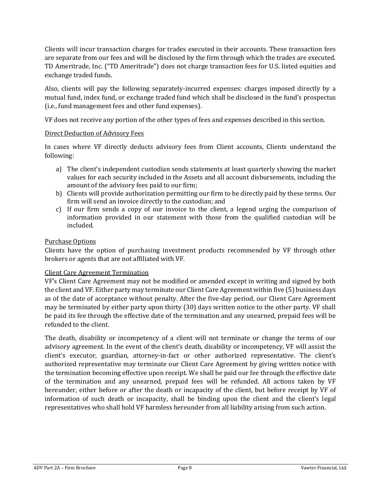Clients will incur transaction charges for trades executed in their accounts. These transaction fees are separate from our fees and will be disclosed by the firm through which the trades are executed. TD Ameritrade, Inc. ("TD Ameritrade") does not charge transaction fees for U.S. listed equities and exchange traded funds.

Also, clients will pay the following separately-incurred expenses: charges imposed directly by a mutual fund, index fund, or exchange traded fund which shall be disclosed in the fund's prospectus (i.e., fund management fees and other fund expenses).

VF does not receive any portion of the other types of fees and expenses described in this section.

# Direct Deduction of Advisory Fees

In cases where VF directly deducts advisory fees from Client accounts, Clients understand the following:

- a) The client's independent custodian sends statements at least quarterly showing the market values for each security included in the Assets and all account disbursements, including the amount of the advisory fees paid to our firm;
- b) Clients will provide authorization permitting our firm to be directly paid by these terms. Our firm will send an invoice directly to the custodian; and
- c) If our firm sends a copy of our invoice to the client, a legend urging the comparison of information provided in our statement with those from the qualified custodian will be included.

# Purchase Options

Clients have the option of purchasing investment products recommended by VF through other brokers or agents that are not affiliated with VF.

# Client Care Agreement Termination

VF's Client Care Agreement may not be modified or amended except in writing and signed by both the client and VF. Either party may terminate our Client Care Agreement within five (5) business days as of the date of acceptance without penalty. After the five-day period, our Client Care Agreement may be terminated by either party upon thirty (30) days written notice to the other party. VF shall be paid its fee through the effective date of the termination and any unearned, prepaid fees will be refunded to the client.

The death, disability or incompetency of a client will not terminate or change the terms of our advisory agreement. In the event of the client's death, disability or incompetency, VF will assist the client's executor, guardian, attorney-in-fact or other authorized representative. The client's authorized representative may terminate our Client Care Agreement by giving written notice with the termination becoming effective upon receipt. We shall be paid our fee through the effective date of the termination and any unearned, prepaid fees will be refunded. All actions taken by VF hereunder, either before or after the death or incapacity of the client, but before receipt by VF of information of such death or incapacity, shall be binding upon the client and the client's legal representatives who shall hold VF harmless hereunder from all liability arising from such action.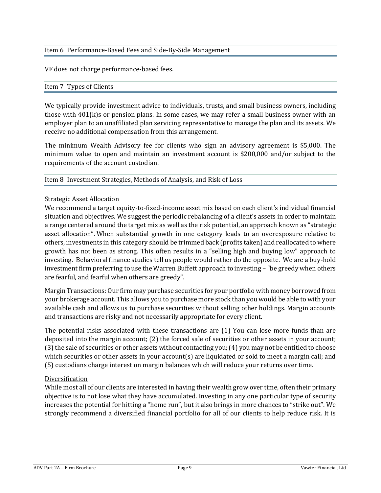## <span id="page-8-0"></span>Item 6 Performance-Based Fees and Side-By-Side Management

<span id="page-8-1"></span>VF does not charge performance-based fees.

#### Item 7 Types of Clients

We typically provide investment advice to individuals, trusts, and small business owners, including those with 401(k)s or pension plans. In some cases, we may refer a small business owner with an employer plan to an unaffiliated plan servicing representative to manage the plan and its assets. We receive no additional compensation from this arrangement.

The minimum Wealth Advisory fee for clients who sign an advisory agreement is \$5,000. The minimum value to open and maintain an investment account is \$200,000 and/or subject to the requirements of the account custodian.

#### <span id="page-8-2"></span>Item 8 Investment Strategies, Methods of Analysis, and Risk of Loss

### Strategic Asset Allocation

We recommend a target equity-to-fixed-income asset mix based on each client's individual financial situation and objectives. We suggest the periodic rebalancing of a client's assets in order to maintain a range centered around the target mix as well as the risk potential, an approach known as "strategic asset allocation". When substantial growth in one category leads to an overexposure relative to others, investments in this category should be trimmed back (profits taken) and reallocated to where growth has not been as strong. This often results in a "selling high and buying low" approach to investing. Behavioral finance studies tell us people would rather do the opposite. We are a buy-hold investment firm preferring to use the Warren Buffett approach to investing – "be greedy when others are fearful, and fearful when others are greedy".

Margin Transactions: Our firm may purchase securities for your portfolio with money borrowed from your brokerage account. This allows you to purchase more stock than you would be able to with your available cash and allows us to purchase securities without selling other holdings. Margin accounts and transactions are risky and not necessarily appropriate for every client.

The potential risks associated with these transactions are (1) You can lose more funds than are deposited into the margin account; (2) the forced sale of securities or other assets in your account; (3) the sale of securities or other assets without contacting you; (4) you may not be entitled to choose which securities or other assets in your account(s) are liquidated or sold to meet a margin call; and (5) custodians charge interest on margin balances which will reduce your returns over time.

# Diversification

While most all of our clients are interested in having their wealth grow over time, often their primary objective is to not lose what they have accumulated. Investing in any one particular type of security increases the potential for hitting a "home run", but it also brings in more chances to "strike out". We strongly recommend a diversified financial portfolio for all of our clients to help reduce risk. It is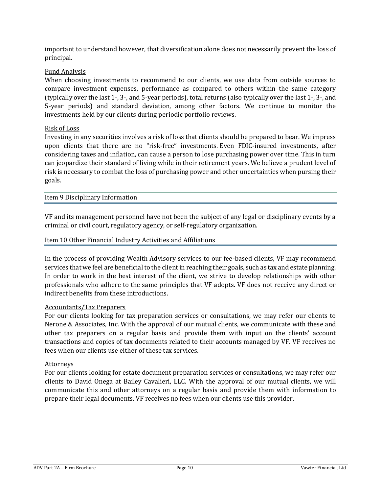important to understand however, that diversification alone does not necessarily prevent the loss of principal.

# Fund Analysis

When choosing investments to recommend to our clients, we use data from outside sources to compare investment expenses, performance as compared to others within the same category (typically over the last 1-, 3-, and 5-year periods), total returns (also typically over the last 1-, 3-, and 5-year periods) and standard deviation, among other factors. We continue to monitor the investments held by our clients during periodic portfolio reviews.

# Risk of Loss

Investing in any securities involves a risk of loss that clients should be prepared to bear. We impress upon clients that there are no "risk-free" investments. Even FDIC-insured investments, after considering taxes and inflation, can cause a person to lose purchasing power over time. This in turn can jeopardize their standard of living while in their retirement years. We believe a prudent level of risk is necessary to combat the loss of purchasing power and other uncertainties when pursing their goals.

<span id="page-9-0"></span>Item 9 Disciplinary Information

VF and its management personnel have not been the subject of any legal or disciplinary events by a criminal or civil court, regulatory agency, or self-regulatory organization.

#### Item 10 Other Financial Industry Activities and Affiliations

In the process of providing Wealth Advisory services to our fee-based clients, VF may recommend services that we feel are beneficial to the client in reaching their goals, such as tax and estate planning. In order to work in the best interest of the client, we strive to develop relationships with other professionals who adhere to the same principles that VF adopts. VF does not receive any direct or indirect benefits from these introductions.

#### Accountants/Tax Preparers

For our clients looking for tax preparation services or consultations, we may refer our clients to Nerone & Associates, Inc. With the approval of our mutual clients, we communicate with these and other tax preparers on a regular basis and provide them with input on the clients' account transactions and copies of tax documents related to their accounts managed by VF. VF receives no fees when our clients use either of these tax services.

#### Attorneys

For our clients looking for estate document preparation services or consultations, we may refer our clients to David Onega at Bailey Cavalieri, LLC. With the approval of our mutual clients, we will communicate this and other attorneys on a regular basis and provide them with information to prepare their legal documents. VF receives no fees when our clients use this provider.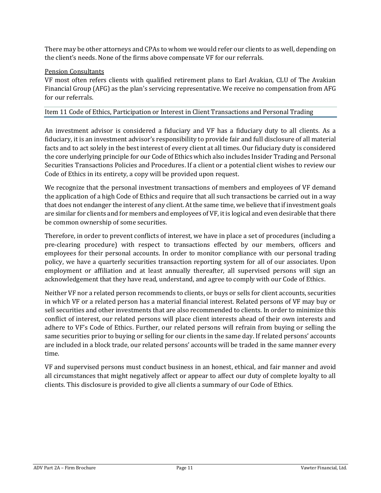There may be other attorneys and CPAs to whom we would refer our clients to as well, depending on the client's needs. None of the firms above compensate VF for our referrals.

# Pension Consultants

VF most often refers clients with qualified retirement plans to Earl Avakian, CLU of The Avakian Financial Group (AFG) as the plan's servicing representative. We receive no compensation from AFG for our referrals.

#### Item 11 Code of Ethics, Participation or Interest in Client Transactions and Personal Trading

An investment advisor is considered a fiduciary and VF has a fiduciary duty to all clients. As a fiduciary, it is an investment advisor's responsibility to provide fair and full disclosure of all material facts and to act solely in the best interest of every client at all times. Our fiduciary duty is considered the core underlying principle for our Code of Ethics which also includes Insider Trading and Personal Securities Transactions Policies and Procedures. If a client or a potential client wishes to review our Code of Ethics in its entirety, a copy will be provided upon request.

We recognize that the personal investment transactions of members and employees of VF demand the application of a high Code of Ethics and require that all such transactions be carried out in a way that does not endanger the interest of any client. At the same time, we believe that if investment goals are similar for clients and for members and employees of VF, it is logical and even desirable that there be common ownership of some securities.

Therefore, in order to prevent conflicts of interest, we have in place a set of procedures (including a pre-clearing procedure) with respect to transactions effected by our members, officers and employees for their personal accounts. In order to monitor compliance with our personal trading policy, we have a quarterly securities transaction reporting system for all of our associates. Upon employment or affiliation and at least annually thereafter, all supervised persons will sign an acknowledgement that they have read, understand, and agree to comply with our Code of Ethics.

Neither VF nor a related person recommends to clients, or buys or sells for client accounts, securities in which VF or a related person has a material financial interest. Related persons of VF may buy or sell securities and other investments that are also recommended to clients. In order to minimize this conflict of interest, our related persons will place client interests ahead of their own interests and adhere to VF's Code of Ethics. Further, our related persons will refrain from buying or selling the same securities prior to buying or selling for our clients in the same day. If related persons' accounts are included in a block trade, our related persons' accounts will be traded in the same manner every time.

VF and supervised persons must conduct business in an honest, ethical, and fair manner and avoid all circumstances that might negatively affect or appear to affect our duty of complete loyalty to all clients. This disclosure is provided to give all clients a summary of our Code of Ethics.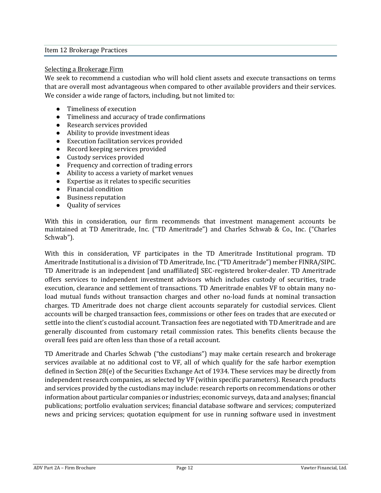#### <span id="page-11-0"></span>Item 12 Brokerage Practices

#### Selecting a Brokerage Firm

We seek to recommend a custodian who will hold client assets and execute transactions on terms that are overall most advantageous when compared to other available providers and their services. We consider a wide range of factors, including, but not limited to:

- Timeliness of execution
- Timeliness and accuracy of trade confirmations
- Research services provided
- Ability to provide investment ideas
- Execution facilitation services provided
- Record keeping services provided
- Custody services provided
- Frequency and correction of trading errors
- Ability to access a variety of market venues
- Expertise as it relates to specific securities
- Financial condition
- Business reputation
- Quality of services

With this in consideration, our firm recommends that investment management accounts be maintained at TD Ameritrade, Inc. ("TD Ameritrade") and Charles Schwab & Co., Inc. ("Charles Schwab").

With this in consideration, VF participates in the TD Ameritrade Institutional program. TD Ameritrade Institutional is a division of TD Ameritrade, Inc. ("TD Ameritrade") member FINRA/SIPC. TD Ameritrade is an independent [and unaffiliated] SEC-registered broker-dealer. TD Ameritrade offers services to independent investment advisors which includes custody of securities, trade execution, clearance and settlement of transactions. TD Ameritrade enables VF to obtain many noload mutual funds without transaction charges and other no-load funds at nominal transaction charges. TD Ameritrade does not charge client accounts separately for custodial services. Client accounts will be charged transaction fees, commissions or other fees on trades that are executed or settle into the client's custodial account. Transaction fees are negotiated with TD Ameritrade and are generally discounted from customary retail commission rates. This benefits clients because the overall fees paid are often less than those of a retail account.

TD Ameritrade and Charles Schwab ("the custodians") may make certain research and brokerage services available at no additional cost to VF, all of which qualify for the safe harbor exemption defined in Section 28(e) of the Securities Exchange Act of 1934. These services may be directly from independent research companies, as selected by VF (within specific parameters). Research products and services provided by the custodians may include: research reports on recommendations or other information about particular companies or industries; economic surveys, data and analyses; financial publications; portfolio evaluation services; financial database software and services; computerized news and pricing services; quotation equipment for use in running software used in investment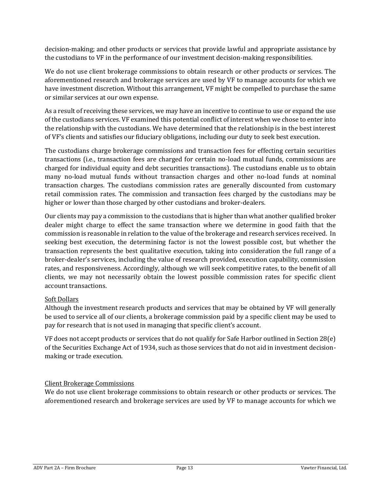decision-making; and other products or services that provide lawful and appropriate assistance by the custodians to VF in the performance of our investment decision-making responsibilities.

We do not use client brokerage commissions to obtain research or other products or services. The aforementioned research and brokerage services are used by VF to manage accounts for which we have investment discretion. Without this arrangement, VF might be compelled to purchase the same or similar services at our own expense.

As a result of receiving these services, we may have an incentive to continue to use or expand the use of the custodians services. VF examined this potential conflict of interest when we chose to enter into the relationship with the custodians. We have determined that the relationship is in the best interest of VF's clients and satisfies our fiduciary obligations, including our duty to seek best execution.

The custodians charge brokerage commissions and transaction fees for effecting certain securities transactions (i.e., transaction fees are charged for certain no-load mutual funds, commissions are charged for individual equity and debt securities transactions). The custodians enable us to obtain many no-load mutual funds without transaction charges and other no-load funds at nominal transaction charges. The custodians commission rates are generally discounted from customary retail commission rates. The commission and transaction fees charged by the custodians may be higher or lower than those charged by other custodians and broker-dealers.

Our clients may pay a commission to the custodians that is higher than what another qualified broker dealer might charge to effect the same transaction where we determine in good faith that the commission is reasonable in relation to the value of the brokerage and research services received. In seeking best execution, the determining factor is not the lowest possible cost, but whether the transaction represents the best qualitative execution, taking into consideration the full range of a broker-dealer's services, including the value of research provided, execution capability, commission rates, and responsiveness. Accordingly, although we will seek competitive rates, to the benefit of all clients, we may not necessarily obtain the lowest possible commission rates for specific client account transactions.

# Soft Dollars

Although the investment research products and services that may be obtained by VF will generally be used to service all of our clients, a brokerage commission paid by a specific client may be used to pay for research that is not used in managing that specific client's account.

VF does not accept products or services that do not qualify for Safe Harbor outlined in Section 28(e) of the Securities Exchange Act of 1934, such as those services that do not aid in investment decisionmaking or trade execution.

# Client Brokerage Commissions

We do not use client brokerage commissions to obtain research or other products or services. The aforementioned research and brokerage services are used by VF to manage accounts for which we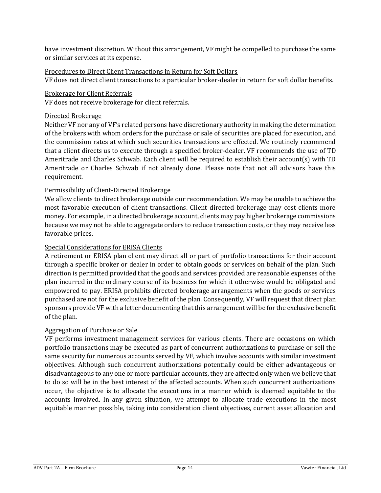have investment discretion. Without this arrangement, VF might be compelled to purchase the same or similar services at its expense.

# Procedures to Direct Client Transactions in Return for Soft Dollars

VF does not direct client transactions to a particular broker-dealer in return for soft dollar benefits.

## Brokerage for Client Referrals

VF does not receive brokerage for client referrals.

#### Directed Brokerage

Neither VF nor any of VF's related persons have discretionary authority in making the determination of the brokers with whom orders for the purchase or sale of securities are placed for execution, and the commission rates at which such securities transactions are effected. We routinely recommend that a client directs us to execute through a specified broker-dealer. VF recommends the use of TD Ameritrade and Charles Schwab. Each client will be required to establish their account(s) with TD Ameritrade or Charles Schwab if not already done. Please note that not all advisors have this requirement.

# Permissibility of Client-Directed Brokerage

We allow clients to direct brokerage outside our recommendation. We may be unable to achieve the most favorable execution of client transactions. Client directed brokerage may cost clients more money. For example, in a directed brokerage account, clients may pay higher brokerage commissions because we may not be able to aggregate orders to reduce transaction costs, or they may receive less favorable prices.

#### Special Considerations for ERISA Clients

A retirement or ERISA plan client may direct all or part of portfolio transactions for their account through a specific broker or dealer in order to obtain goods or services on behalf of the plan. Such direction is permitted provided that the goods and services provided are reasonable expenses of the plan incurred in the ordinary course of its business for which it otherwise would be obligated and empowered to pay. ERISA prohibits directed brokerage arrangements when the goods or services purchased are not for the exclusive benefit of the plan. Consequently, VF will request that direct plan sponsors provide VF with a letter documenting that this arrangement will be for the exclusive benefit of the plan.

#### Aggregation of Purchase or Sale

VF performs investment management services for various clients. There are occasions on which portfolio transactions may be executed as part of concurrent authorizations to purchase or sell the same security for numerous accounts served by VF, which involve accounts with similar investment objectives. Although such concurrent authorizations potentially could be either advantageous or disadvantageous to any one or more particular accounts, they are affected only when we believe that to do so will be in the best interest of the affected accounts. When such concurrent authorizations occur, the objective is to allocate the executions in a manner which is deemed equitable to the accounts involved. In any given situation, we attempt to allocate trade executions in the most equitable manner possible, taking into consideration client objectives, current asset allocation and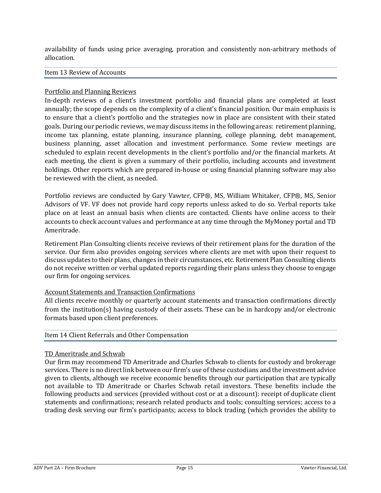availability of funds using price averaging, proration and consistently non-arbitrary methods of allocation.

#### Item 13 Review of Accounts

#### Portfolio and Planning Reviews

In-depth reviews of a client's investment portfolio and financial plans are completed at least annually; the scope depends on the complexity of a client's financial position. Our main emphasis is to ensure that a client's portfolio and the strategies now in place are consistent with their stated goals. During our periodic reviews, we may discuss items in the following areas: retirement planning, income tax planning, estate planning, insurance planning, college planning, debt management, business planning, asset allocation and investment performance. Some review meetings are scheduled to explain recent developments in the client's portfolio and/or the financial markets. At each meeting, the client is given a summary of their portfolio, including accounts and investment holdings. Other reports which are prepared in-house or using financial planning software may also be reviewed with the client, as needed.

Portfolio reviews are conducted by Gary Vawter, CFP®, MS, William Whitaker, CFP®, MS, Senior Advisors of VF. VF does not provide hard copy reports unless asked to do so. Verbal reports take place on at least an annual basis when clients are contacted. Clients have online access to their accounts to check account values and performance at any time through the MyMoney portal and TD Ameritrade.

Retirement Plan Consulting clients receive reviews of their retirement plans for the duration of the service. Our firm also provides ongoing services where clients are met with upon their request to discuss updates to their plans, changes in their circumstances, etc. Retirement Plan Consulting clients do not receive written or verbal updated reports regarding their plans unless they choose to engage our firm for ongoing services.

#### Account Statements and Transaction Confirmations

All clients receive monthly or quarterly account statements and transaction confirmations directly from the institution(s) having custody of their assets. These can be in hardcopy and/or electronic formats based upon client preferences.

#### <span id="page-14-0"></span>Item 14 Client Referrals and Other Compensation

#### TD Ameritrade and Schwab

Our firm may recommend TD Ameritrade and Charles Schwab to clients for custody and brokerage services. There is no direct link between our firm's use of these custodians and the investment advice given to clients, although we receive economic benefits through our participation that are typically not available to TD Ameritrade or Charles Schwab retail investors. These benefits include the following products and services (provided without cost or at a discount): receipt of duplicate client statements and confirmations; research related products and tools; consulting services; access to a trading desk serving our firm's participants; access to block trading (which provides the ability to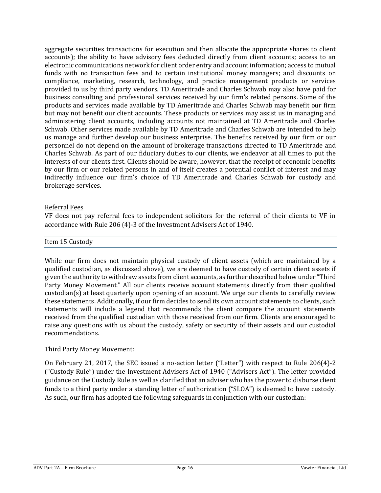aggregate securities transactions for execution and then allocate the appropriate shares to client accounts); the ability to have advisory fees deducted directly from client accounts; access to an electronic communications network for client order entry and account information; access to mutual funds with no transaction fees and to certain institutional money managers; and discounts on compliance, marketing, research, technology, and practice management products or services provided to us by third party vendors. TD Ameritrade and Charles Schwab may also have paid for business consulting and professional services received by our firm's related persons. Some of the products and services made available by TD Ameritrade and Charles Schwab may benefit our firm but may not benefit our client accounts. These products or services may assist us in managing and administering client accounts, including accounts not maintained at TD Ameritrade and Charles Schwab. Other services made available by TD Ameritrade and Charles Schwab are intended to help us manage and further develop our business enterprise. The benefits received by our firm or our personnel do not depend on the amount of brokerage transactions directed to TD Ameritrade and Charles Schwab. As part of our fiduciary duties to our clients, we endeavor at all times to put the interests of our clients first. Clients should be aware, however, that the receipt of economic benefits by our firm or our related persons in and of itself creates a potential conflict of interest and may indirectly influence our firm's choice of TD Ameritrade and Charles Schwab for custody and brokerage services.

### Referral Fees

VF does not pay referral fees to independent solicitors for the referral of their clients to VF in accordance with Rule 206 (4)-3 of the Investment Advisers Act of 1940.

#### <span id="page-15-0"></span>Item 15 Custody

While our firm does not maintain physical custody of client assets (which are maintained by a qualified custodian, as discussed above), we are deemed to have custody of certain client assets if given the authority to withdraw assets from client accounts, as further described below under "Third Party Money Movement." All our clients receive account statements directly from their qualified custodian(s) at least quarterly upon opening of an account. We urge our clients to carefully review these statements. Additionally, if our firm decides to send its own account statements to clients, such statements will include a legend that recommends the client compare the account statements received from the qualified custodian with those received from our firm. Clients are encouraged to raise any questions with us about the custody, safety or security of their assets and our custodial recommendations.

#### Third Party Money Movement:

On February 21, 2017, the SEC issued a no‐action letter ("Letter") with respect to Rule 206(4)‐2 ("Custody Rule") under the Investment Advisers Act of 1940 ("Advisers Act"). The letter provided guidance on the Custody Rule as well as clarified that an adviser who has the power to disburse client funds to a third party under a standing letter of authorization ("SLOA") is deemed to have custody. As such, our firm has adopted the following safeguards in conjunction with our custodian: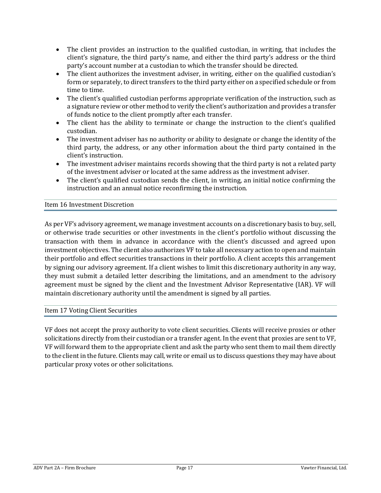- The client provides an instruction to the qualified custodian, in writing, that includes the client's signature, the third party's name, and either the third party's address or the third party's account number at a custodian to which the transfer should be directed.
- The client authorizes the investment adviser, in writing, either on the qualified custodian's form or separately, to direct transfers to the third party either on a specified schedule or from time to time.
- The client's qualified custodian performs appropriate verification of the instruction, such as a signature review or other method to verify the client's authorization and provides a transfer of funds notice to the client promptly after each transfer.
- The client has the ability to terminate or change the instruction to the client's qualified custodian.
- The investment adviser has no authority or ability to designate or change the identity of the third party, the address, or any other information about the third party contained in the client's instruction.
- The investment adviser maintains records showing that the third party is not a related party of the investment adviser or located at the same address as the investment adviser.
- The client's qualified custodian sends the client, in writing, an initial notice confirming the instruction and an annual notice reconfirming the instruction.

# <span id="page-16-0"></span>Item 16 Investment Discretion

As per VF's advisory agreement, we manage investment accounts on a discretionary basis to buy, sell, or otherwise trade securities or other investments in the client's portfolio without discussing the transaction with them in advance in accordance with the client's discussed and agreed upon investment objectives. The client also authorizes VF to take all necessary action to open and maintain their portfolio and effect securities transactions in their portfolio. A client accepts this arrangement by signing our advisory agreement. If a client wishes to limit this discretionary authority in any way, they must submit a detailed letter describing the limitations, and an amendment to the advisory agreement must be signed by the client and the Investment Advisor Representative (IAR). VF will maintain discretionary authority until the amendment is signed by all parties.

#### <span id="page-16-1"></span>Item 17 Voting Client Securities

VF does not accept the proxy authority to vote client securities. Clients will receive proxies or other solicitations directly from their custodian or a transfer agent. In the event that proxies are sent to VF, VF will forward them to the appropriate client and ask the party who sent them to mail them directly to the client in the future. Clients may call, write or email us to discuss questions they may have about particular proxy votes or other solicitations.